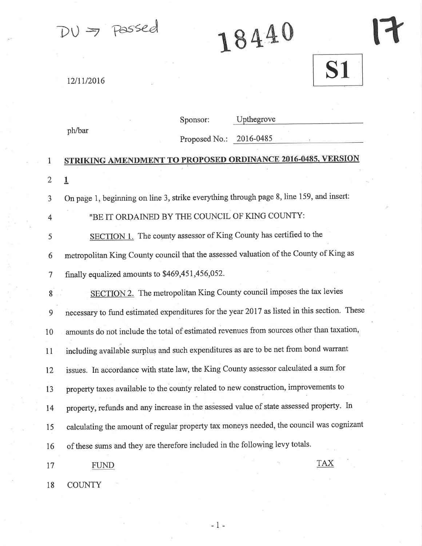$DU \geq P$ assed

18440

17

**S1** 

12/11/2016

|                | Upthegrove<br>Sponsor:                                                                      |
|----------------|---------------------------------------------------------------------------------------------|
|                | ph/bar<br>2016-0485<br>Proposed No.:                                                        |
| $\mathbf{1}$   | <b>STRIKING AMENDMENT TO PROPOSED ORDINANCE 2016-0485, VERSION</b>                          |
| $\overline{2}$ | $\overline{1}$                                                                              |
| 3              | On page 1, beginning on line 3, strike everything through page 8, line 159, and insert:     |
| 4              | "BE IT ORDAINED BY THE COUNCIL OF KING COUNTY:                                              |
| 5              | SECTION 1. The county assessor of King County has certified to the                          |
| 6              | metropolitan King County council that the assessed valuation of the County of King as       |
| 7              | finally equalized amounts to \$469,451,456,052.                                             |
| 8              | SECTION 2. The metropolitan King County council imposes the tax levies                      |
| 9              | necessary to fund estimated expenditures for the year 2017 as listed in this section. These |
| 10             | amounts do not include the total of estimated revenues from sources other than taxation,    |
| 11             | including available surplus and such expenditures as are to be net from bond warrant        |
| 12             | issues. In accordance with state law, the King County assessor calculated a sum for         |
| 13             | property taxes available to the county related to new construction, improvements to         |
| 14             | property, refunds and any increase in the assessed value of state assessed property. In     |
| 15             | calculating the amount of regular property tax moneys needed, the council was cognizant     |
| 16             | of these sums and they are therefore included in the following levy totals.                 |
| 17             | <b>FUND</b>                                                                                 |
| 18             | <b>COUNTY</b>                                                                               |

 $=1$   $\epsilon$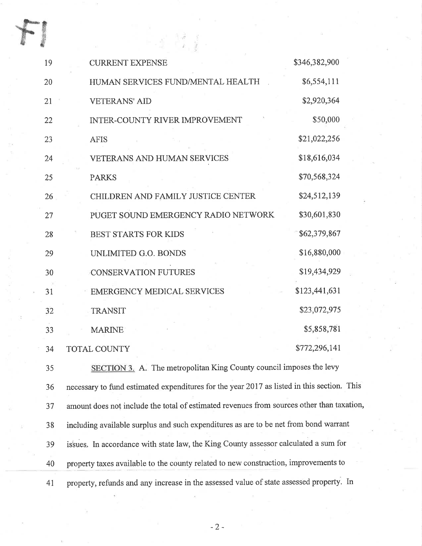| 19 | <b>CURRENT EXPENSE</b>                                                                     | \$346,382,900 |
|----|--------------------------------------------------------------------------------------------|---------------|
| 20 | HUMAN SERVICES FUND/MENTAL HEALTH                                                          | \$6,554,111   |
| 21 | <b>VETERANS' AID</b>                                                                       | \$2,920,364   |
| 22 | <b>INTER-COUNTY RIVER IMPROVEMENT</b>                                                      | \$50,000      |
| 23 | <b>AFIS</b>                                                                                | \$21,022,256  |
| 24 | <b>VETERANS AND HUMAN SERVICES</b>                                                         | \$18,616,034  |
| 25 | <b>PARKS</b>                                                                               | \$70,568,324  |
| 26 | CHILDREN AND FAMILY JUSTICE CENTER                                                         | \$24,512,139  |
| 27 | PUGET SOUND EMERGENCY RADIO NETWORK                                                        | \$30,601,830  |
| 28 | <b>BEST STARTS FOR KIDS</b>                                                                | \$62,379,867  |
| 29 | UNLIMITED G.O. BONDS                                                                       | \$16,880,000  |
| 30 | <b>CONSERVATION FUTURES</b>                                                                | \$19,434,929  |
| 31 | <b>EMERGENCY MEDICAL SERVICES</b>                                                          | \$123,441,631 |
| 32 | <b>TRANSIT</b>                                                                             | \$23,072,975  |
| 33 | <b>MARINE</b>                                                                              | \$5,858,781   |
| 34 | TOTAL COUNTY                                                                               | \$772,296,141 |
| 35 | SECTION 3. A. The metropolitan King County council imposes the levy                        |               |
| 36 | necessary to fund estimated expenditures for the year 2017 as listed in this section. This |               |
| 37 | amount does not include the total of estimated revenues from sources other than taxation,  |               |
| 38 | including available surplus and such expenditures as are to be net from bond warrant       |               |
| 39 | issues. In accordance with state law, the King County assessor calculated a sum for        |               |
|    |                                                                                            |               |

40 property taxes available to the county related to new construction, improvements to

4I property, refunds and any increase in the assessed value of state assessed property. In

-2-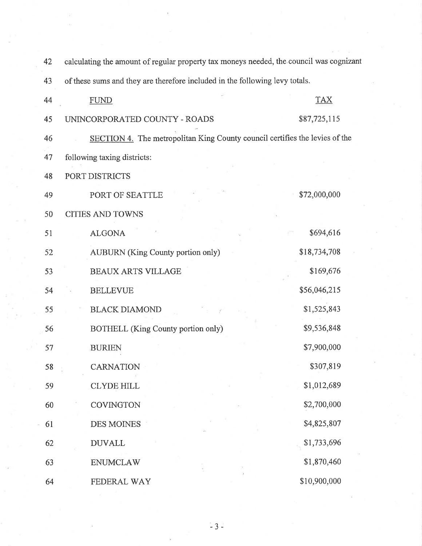| 42 | calculating the amount of regular property tax moneys needed, the council was cognizant |              |  |  |
|----|-----------------------------------------------------------------------------------------|--------------|--|--|
| 43 | of these sums and they are therefore included in the following levy totals.             |              |  |  |
| 44 | <b>FUND</b>                                                                             | <b>TAX</b>   |  |  |
| 45 | UNINCORPORATED COUNTY - ROADS                                                           | \$87,725,115 |  |  |
| 46 | SECTION 4. The metropolitan King County council certifies the levies of the             |              |  |  |
| 47 | following taxing districts:                                                             |              |  |  |
| 48 | PORT DISTRICTS                                                                          |              |  |  |
| 49 | PORT OF SEATTLE                                                                         | \$72,000,000 |  |  |
| 50 | <b>CITIES AND TOWNS</b>                                                                 |              |  |  |
| 51 | <b>ALGONA</b>                                                                           | \$694,616    |  |  |
| 52 | <b>AUBURN</b> (King County portion only)                                                | \$18,734,708 |  |  |
| 53 | <b>BEAUX ARTS VILLAGE</b>                                                               | \$169,676    |  |  |
| 54 | <b>BELLEVUE</b>                                                                         | \$56,046,215 |  |  |
| 55 | <b>BLACK DIAMOND</b>                                                                    | \$1,525,843  |  |  |
| 56 | <b>BOTHELL</b> (King County portion only)                                               | \$9,536,848  |  |  |
| 57 | <b>BURIEN</b>                                                                           | \$7,900,000  |  |  |
| 58 | CARNATION                                                                               | \$307,819    |  |  |
| 59 | <b>CLYDE HILL</b>                                                                       | \$1,012,689  |  |  |
| 60 | COVINGTON                                                                               | \$2,700,000  |  |  |
| 61 | <b>DES MOINES</b>                                                                       | \$4,825,807  |  |  |
| 62 | <b>DUVALL</b>                                                                           | \$1,733,696  |  |  |
| 63 | <b>ENUMCLAW</b>                                                                         | \$1,870,460  |  |  |
| 64 | FEDERAL WAY                                                                             | \$10,900,000 |  |  |

 $-3-$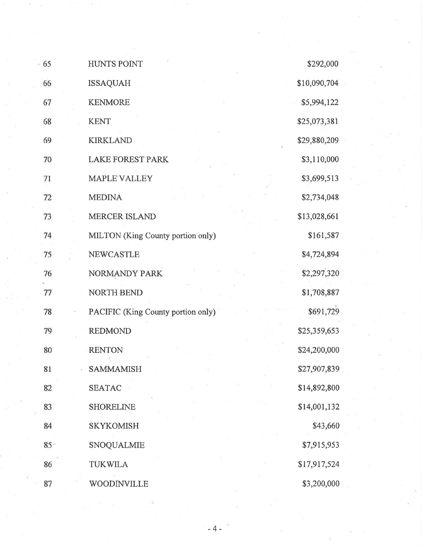| 65     | <b>HUNTS POINT</b>                 | \$292,000    |
|--------|------------------------------------|--------------|
| 66     | <b>ISSAQUAH</b>                    | \$10,090,704 |
| 67     | <b>KENMORE</b>                     | \$5,994,122  |
| 68     | <b>KENT</b>                        | \$25,073,381 |
| 69     | <b>KIRKLAND</b>                    | \$29,880,209 |
| 70     | <b>LAKE FOREST PARK</b>            | \$3,110,000  |
| 71     | <b>MAPLE VALLEY</b>                | \$3,699,513  |
| 72     | <b>MEDINA</b>                      | \$2,734,048  |
| 73     | <b>MERCER ISLAND</b>               | \$13,028,661 |
| 74     | MILTON (King County portion only)  | \$161,587    |
| 75     | <b>NEWCASTLE</b>                   | \$4,724,894  |
| 76     | NORMANDY PARK                      | \$2,297,320  |
| 77     | <b>NORTH BEND</b>                  | \$1,708,887  |
| 78     | PACIFIC (King County portion only) | \$691,729    |
| 79     | <b>REDMOND</b>                     | \$25,359,653 |
| 80     | <b>RENTON</b>                      | \$24,200,000 |
| 81     | <b>SAMMAMISH</b>                   | \$27,907,839 |
| 82     | <b>SEATAC</b>                      | \$14,892,800 |
| 83     | <b>SHORELINE</b>                   | \$14,001,132 |
| 84     | <b>SKYKOMISH</b>                   | \$43,660     |
| $85 -$ | SNOQUALMIE                         | \$7,915,953  |
| 86     | <b>TUKWILA</b>                     | \$17,917,524 |
| 87     | WOODINVILLE                        | \$3,200,000  |

 $\Omega$ 

 $\sim$   $_{\odot}$ 

 $\sim$   $\omega$ 

-4-

ä,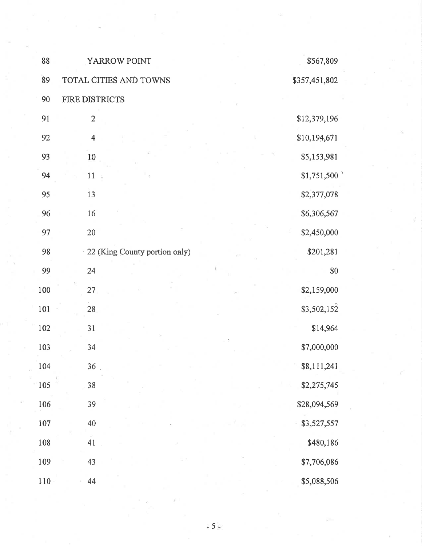| 88  | YARROW POINT                  | \$567,809     |
|-----|-------------------------------|---------------|
| 89  | TOTAL CITIES AND TOWNS        | \$357,451,802 |
| 90  | FIRE DISTRICTS                |               |
| 91  | $\overline{2}$                | \$12,379,196  |
| 92  | $\overline{4}$                | \$10,194,671  |
| 93  | 10                            | \$5,153,981   |
| 94  | 11                            | \$1,751,500   |
| 95  | 13                            | \$2,377,078   |
| 96  | 16                            | \$6,306,567   |
| 97  | $20\,$                        | \$2,450,000   |
| 98  | 22 (King County portion only) | \$201,281     |
| 99  | 24                            | \$0           |
| 100 | 27                            | \$2,159,000   |
| 101 | 28                            | \$3,502,152   |
| 102 | 31                            | \$14,964      |
| 103 | 34                            | \$7,000,000   |
| 104 | 36 <sub>2</sub>               | \$8,111,241   |
| 105 | 38                            | \$2,275,745   |
| 106 | 39                            | \$28,094,569  |
| 107 | 40                            | \$3,527,557   |
| 108 | 41<br>$\bar{\mathbb{R}}$      | \$480,186     |
| 109 | 43                            | \$7,706,086   |
| 110 | 44                            | \$5,088,506   |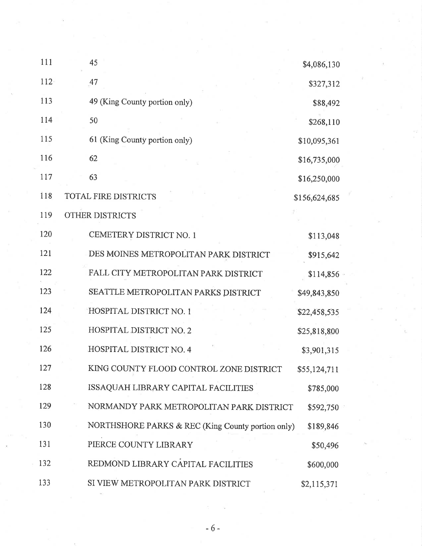| 111 | 45                                                | \$4,086,130   |  |
|-----|---------------------------------------------------|---------------|--|
| 112 | 47                                                | \$327,312     |  |
| 113 | 49 (King County portion only)                     | \$88,492      |  |
| 114 | 50                                                | \$268,110     |  |
| 115 | 61 (King County portion only)                     | \$10,095,361  |  |
| 116 | 62                                                | \$16,735,000  |  |
| 117 | 63                                                | \$16,250,000  |  |
| 118 | TOTAL FIRE DISTRICTS                              | \$156,624,685 |  |
| 119 | OTHER DISTRICTS                                   |               |  |
| 120 | CEMETERY DISTRICT NO. 1                           | \$113,048     |  |
| 121 | DES MOINES METROPOLITAN PARK DISTRICT             | \$915,642     |  |
| 122 | FALL CITY METROPOLITAN PARK DISTRICT              | \$114,856     |  |
| 123 | SEATTLE METROPOLITAN PARKS DISTRICT               | \$49,843,850  |  |
| 124 | HOSPITAL DISTRICT NO. 1                           | \$22,458,535  |  |
| 125 | HOSPITAL DISTRICT NO. 2                           | \$25,818,800  |  |
| 126 | HOSPITAL DISTRICT NO. 4                           | \$3,901,315   |  |
| 127 | KING COUNTY FLOOD CONTROL ZONE DISTRICT           | \$55,124,711  |  |
| 128 | ISSAQUAH LIBRARY CAPITAL FACILITIES               | \$785,000     |  |
| 129 | NORMANDY PARK METROPOLITAN PARK DISTRICT          | \$592,750     |  |
| 130 | NORTHSHORE PARKS & REC (King County portion only) | \$189,846     |  |
| 131 | PIERCE COUNTY LIBRARY                             | \$50,496      |  |
| 132 | REDMOND LIBRARY CAPITAL FACILITIES                | \$600,000     |  |
| 133 | SI VIEW METROPOLITAN PARK DISTRICT                | \$2,115,371   |  |

 $\mathbf{H}^{\mathrm{H}}$ 

 $-6-$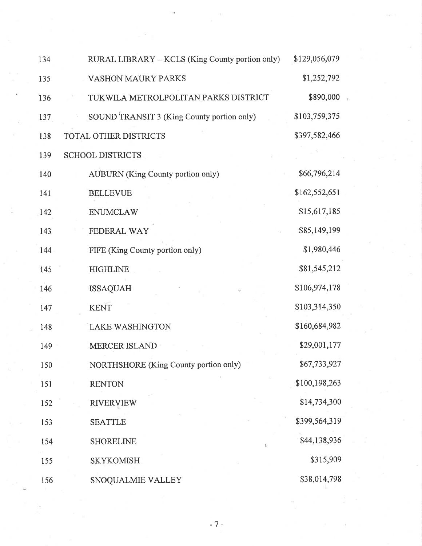| 134 | RURAL LIBRARY - KCLS (King County portion only) | \$129,056,079 |  |
|-----|-------------------------------------------------|---------------|--|
| 135 | <b>VASHON MAURY PARKS</b>                       | \$1,252,792   |  |
| 136 | TUKWILA METROLPOLITAN PARKS DISTRICT            | \$890,000     |  |
| 137 | SOUND TRANSIT 3 (King County portion only)      | \$103,759,375 |  |
| 138 | TOTAL OTHER DISTRICTS                           | \$397,582,466 |  |
| 139 | <b>SCHOOL DISTRICTS</b>                         |               |  |
| 140 | <b>AUBURN</b> (King County portion only)        | \$66,796,214  |  |
| 141 | <b>BELLEVUE</b>                                 | \$162,552,651 |  |
| 142 | <b>ENUMCLAW</b>                                 | \$15,617,185  |  |
| 143 | FEDERAL WAY                                     | \$85,149,199  |  |
| 144 | FIFE (King County portion only)                 | \$1,980,446   |  |
| 145 | <b>HIGHLINE</b>                                 | \$81,545,212  |  |
| 146 | <b>ISSAQUAH</b>                                 | \$106,974,178 |  |
| 147 | <b>KENT</b>                                     | \$103,314,350 |  |
| 148 | LAKE WASHINGTON                                 | \$160,684,982 |  |
| 149 | <b>MERCER ISLAND</b>                            | \$29,001,177  |  |
| 150 | <b>NORTHSHORE</b> (King County portion only)    | \$67,733,927  |  |
| 151 | <b>RENTON</b>                                   | \$100,198,263 |  |
| 152 | <b>RIVERVIEW</b>                                | \$14,734,300  |  |
| 153 | <b>SEATTLE</b>                                  | \$399,564,319 |  |
| 154 | <b>SHORELINE</b>                                | \$44,138,936  |  |
| 155 | <b>SKYKOMISH</b>                                | \$315,909     |  |
| 156 | SNOQUALMIE VALLEY                               | \$38,014,798  |  |

 $\frac{1}{\pi}$ 

 $\frac{1}{2}$  .

-7 -